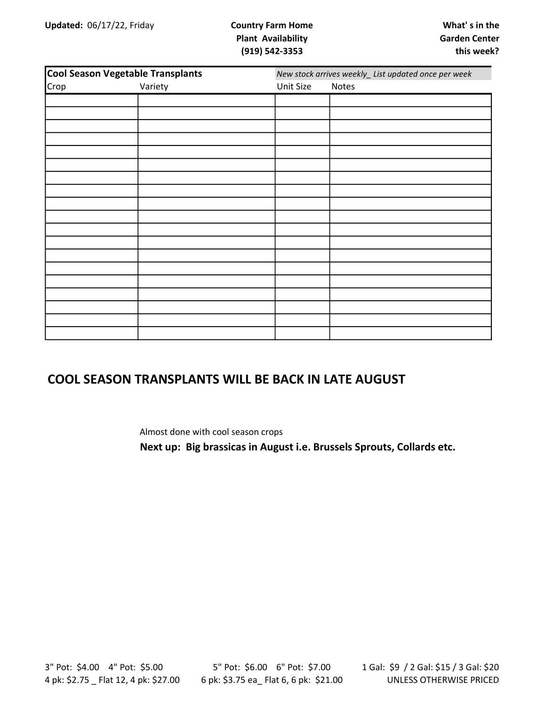| <b>Cool Season Vegetable Transplants</b> |         | New stock arrives weekly_ List updated once per week |       |  |
|------------------------------------------|---------|------------------------------------------------------|-------|--|
| Crop                                     | Variety | Unit Size                                            | Notes |  |
|                                          |         |                                                      |       |  |
|                                          |         |                                                      |       |  |
|                                          |         |                                                      |       |  |
|                                          |         |                                                      |       |  |
|                                          |         |                                                      |       |  |
|                                          |         |                                                      |       |  |
|                                          |         |                                                      |       |  |
|                                          |         |                                                      |       |  |
|                                          |         |                                                      |       |  |
|                                          |         |                                                      |       |  |
|                                          |         |                                                      |       |  |
|                                          |         |                                                      |       |  |
|                                          |         |                                                      |       |  |
|                                          |         |                                                      |       |  |
|                                          |         |                                                      |       |  |
|                                          |         |                                                      |       |  |
|                                          |         |                                                      |       |  |
|                                          |         |                                                      |       |  |
|                                          |         |                                                      |       |  |

#### COOL SEASON TRANSPLANTS WILL BE BACK IN LATE AUGUST

Almost done with cool season crops

Next up: Big brassicas in August i.e. Brussels Sprouts, Collards etc.

3" Pot: \$4.00 4" Pot: \$5.00 4 pk: \$2.75 \_ Flat 12, 4 pk: \$27.00

5" Pot: \$6.00 6" Pot: \$7.00 6 pk: \$3.75 ea\_ Flat 6, 6 pk: \$21.00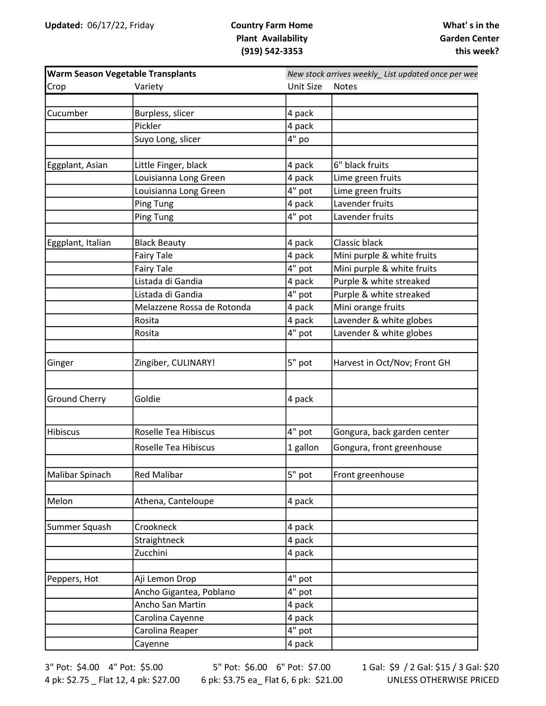| <b>Warm Season Vegetable Transplants</b> |                             | New stock arrives weekly_ List updated once per wee |                              |  |
|------------------------------------------|-----------------------------|-----------------------------------------------------|------------------------------|--|
| Crop                                     | Variety                     | <b>Unit Size</b>                                    | <b>Notes</b>                 |  |
|                                          |                             |                                                     |                              |  |
| Cucumber                                 | Burpless, slicer            | 4 pack                                              |                              |  |
|                                          | Pickler                     | 4 pack                                              |                              |  |
|                                          | Suyo Long, slicer           | 4" po                                               |                              |  |
|                                          |                             |                                                     |                              |  |
| Eggplant, Asian                          | Little Finger, black        | 4 pack                                              | 6" black fruits              |  |
|                                          | Louisianna Long Green       | 4 pack                                              | Lime green fruits            |  |
|                                          | Louisianna Long Green       | 4" pot                                              | Lime green fruits            |  |
|                                          | <b>Ping Tung</b>            | 4 pack                                              | Lavender fruits              |  |
|                                          | <b>Ping Tung</b>            | 4" pot                                              | Lavender fruits              |  |
|                                          |                             |                                                     |                              |  |
| Eggplant, Italian                        | <b>Black Beauty</b>         | 4 pack                                              | Classic black                |  |
|                                          | <b>Fairy Tale</b>           | 4 pack                                              | Mini purple & white fruits   |  |
|                                          | <b>Fairy Tale</b>           | 4" pot                                              | Mini purple & white fruits   |  |
|                                          | Listada di Gandia           | 4 pack                                              | Purple & white streaked      |  |
|                                          | Listada di Gandia           | 4" pot                                              | Purple & white streaked      |  |
|                                          | Melazzene Rossa de Rotonda  | 4 pack                                              | Mini orange fruits           |  |
|                                          | Rosita                      | 4 pack                                              | Lavender & white globes      |  |
|                                          | Rosita                      | 4" pot                                              | Lavender & white globes      |  |
|                                          |                             |                                                     |                              |  |
| Ginger                                   | Zingiber, CULINARY!         | 5" pot                                              | Harvest in Oct/Nov; Front GH |  |
| <b>Ground Cherry</b>                     | Goldie                      | 4 pack                                              |                              |  |
| Hibiscus                                 | Roselle Tea Hibiscus        | 4" pot                                              | Gongura, back garden center  |  |
|                                          | <b>Roselle Tea Hibiscus</b> | 1 gallon                                            | Gongura, front greenhouse    |  |
|                                          |                             |                                                     |                              |  |
| Malibar Spinach                          | <b>Red Malibar</b>          | 5" pot                                              | Front greenhouse             |  |
| Melon                                    | Athena, Canteloupe          | 4 pack                                              |                              |  |
|                                          |                             |                                                     |                              |  |
| Summer Squash                            | Crookneck                   | 4 pack                                              |                              |  |
|                                          | Straightneck                | 4 pack                                              |                              |  |
|                                          | Zucchini                    | 4 pack                                              |                              |  |
| Peppers, Hot                             | Aji Lemon Drop              | 4" pot                                              |                              |  |
|                                          | Ancho Gigantea, Poblano     | 4" pot                                              |                              |  |
|                                          | Ancho San Martin            | 4 pack                                              |                              |  |
|                                          | Carolina Cayenne            | 4 pack                                              |                              |  |
|                                          | Carolina Reaper             | 4" pot                                              |                              |  |
|                                          | Cayenne                     | 4 pack                                              |                              |  |

3" Pot: \$4.00 4" Pot: \$5.00 4 pk: \$2.75 \_ Flat 12, 4 pk: \$27.00

5" Pot: \$6.00 6" Pot: \$7.00 6 pk: \$3.75 ea\_ Flat 6, 6 pk: \$21.00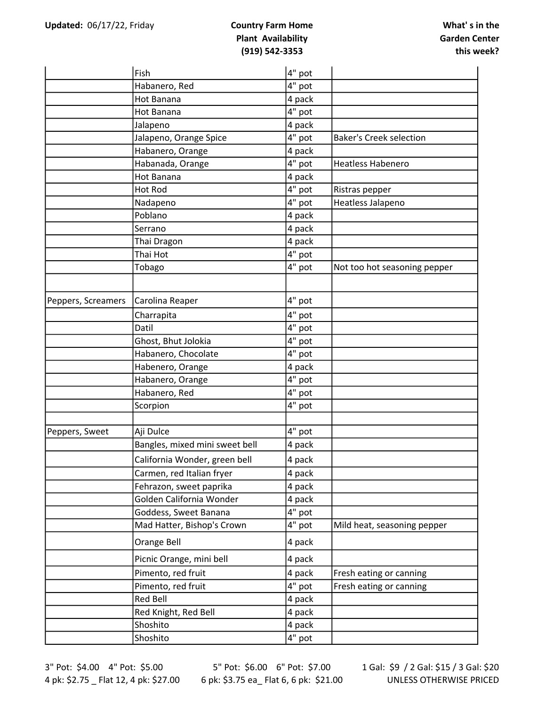|                    | Fish                           | 4" pot   |                                |
|--------------------|--------------------------------|----------|--------------------------------|
|                    | Habanero, Red                  | 4" pot   |                                |
|                    | Hot Banana                     | 4 pack   |                                |
|                    | Hot Banana                     | 4" pot   |                                |
|                    | Jalapeno                       | 4 pack   |                                |
|                    | Jalapeno, Orange Spice         | 4" pot   | <b>Baker's Creek selection</b> |
|                    | Habanero, Orange               | 4 pack   |                                |
|                    | Habanada, Orange               | 4" pot   | Heatless Habenero              |
|                    | Hot Banana                     | 4 pack   |                                |
|                    | <b>Hot Rod</b>                 | 4" pot   | Ristras pepper                 |
|                    | Nadapeno                       | 4" pot   | Heatless Jalapeno              |
|                    | Poblano                        | 4 pack   |                                |
|                    | Serrano                        | 4 pack   |                                |
|                    | Thai Dragon                    | 4 pack   |                                |
|                    | Thai Hot                       | 4" pot   |                                |
|                    | Tobago                         | 4" pot   | Not too hot seasoning pepper   |
|                    |                                |          |                                |
| Peppers, Screamers | Carolina Reaper                | 4" pot   |                                |
|                    | Charrapita                     | 4" pot   |                                |
|                    | Datil                          | 4" pot   |                                |
|                    | Ghost, Bhut Jolokia            | 4" pot   |                                |
|                    | Habanero, Chocolate            | 4" pot   |                                |
|                    | Habenero, Orange               | 4 pack   |                                |
|                    | Habanero, Orange               | 4" pot   |                                |
|                    | Habanero, Red                  | 4" pot   |                                |
|                    | Scorpion                       | 4" pot   |                                |
| Peppers, Sweet     | Aji Dulce                      | $4"$ pot |                                |
|                    | Bangles, mixed mini sweet bell | 4 pack   |                                |
|                    | California Wonder, green bell  | 4 pack   |                                |
|                    | Carmen, red Italian fryer      | 4 pack   |                                |
|                    | Fehrazon, sweet paprika        | 4 pack   |                                |
|                    | Golden California Wonder       | 4 pack   |                                |
|                    | Goddess, Sweet Banana          | 4" pot   |                                |
|                    | Mad Hatter, Bishop's Crown     | 4" pot   | Mild heat, seasoning pepper    |
|                    | Orange Bell                    | 4 pack   |                                |
|                    | Picnic Orange, mini bell       | 4 pack   |                                |
|                    | Pimento, red fruit             | 4 pack   | Fresh eating or canning        |
|                    | Pimento, red fruit             | 4" pot   | Fresh eating or canning        |
|                    | <b>Red Bell</b>                | 4 pack   |                                |
|                    | Red Knight, Red Bell           | 4 pack   |                                |
|                    | Shoshito                       | 4 pack   |                                |
|                    | Shoshito                       | 4" pot   |                                |
|                    |                                |          |                                |

3" Pot: \$4.00 4" Pot: \$5.00 4 pk: \$2.75 \_ Flat 12, 4 pk: \$27.00

5" Pot: \$6.00 6" Pot: \$7.00 6 pk: \$3.75 ea\_ Flat 6, 6 pk: \$21.00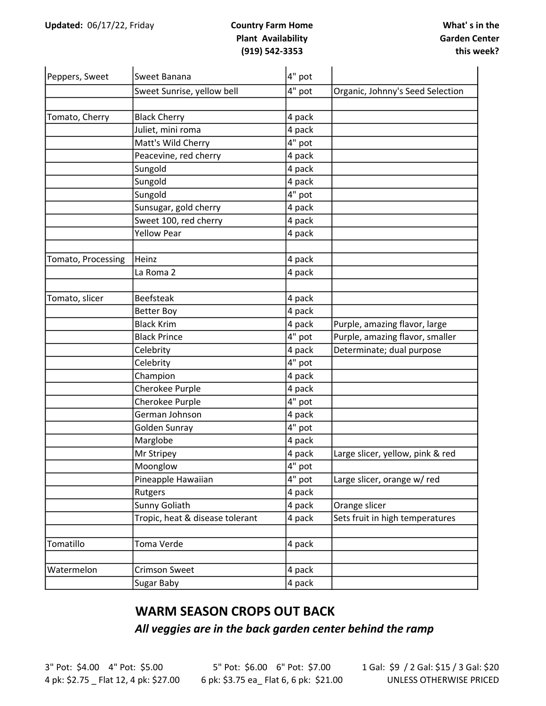| Peppers, Sweet     | Sweet Banana                    | 4" pot |                                  |
|--------------------|---------------------------------|--------|----------------------------------|
|                    | Sweet Sunrise, yellow bell      | 4" pot | Organic, Johnny's Seed Selection |
|                    |                                 |        |                                  |
| Tomato, Cherry     | <b>Black Cherry</b>             | 4 pack |                                  |
|                    | Juliet, mini roma               | 4 pack |                                  |
|                    | Matt's Wild Cherry              | 4" pot |                                  |
|                    | Peacevine, red cherry           | 4 pack |                                  |
|                    | Sungold                         | 4 pack |                                  |
|                    | Sungold                         | 4 pack |                                  |
|                    | Sungold                         | 4" pot |                                  |
|                    | Sunsugar, gold cherry           | 4 pack |                                  |
|                    | Sweet 100, red cherry           | 4 pack |                                  |
|                    | <b>Yellow Pear</b>              | 4 pack |                                  |
|                    |                                 |        |                                  |
| Tomato, Processing | Heinz                           | 4 pack |                                  |
|                    | La Roma 2                       | 4 pack |                                  |
| Tomato, slicer     | <b>Beefsteak</b>                | 4 pack |                                  |
|                    | <b>Better Boy</b>               | 4 pack |                                  |
|                    | <b>Black Krim</b>               | 4 pack | Purple, amazing flavor, large    |
|                    | <b>Black Prince</b>             | 4" pot | Purple, amazing flavor, smaller  |
|                    | Celebrity                       | 4 pack | Determinate; dual purpose        |
|                    | Celebrity                       | 4" pot |                                  |
|                    | Champion                        | 4 pack |                                  |
|                    | Cherokee Purple                 | 4 pack |                                  |
|                    | Cherokee Purple                 | 4" pot |                                  |
|                    | German Johnson                  | 4 pack |                                  |
|                    | Golden Sunray                   | 4" pot |                                  |
|                    | Marglobe                        | 4 pack |                                  |
|                    | Mr Stripey                      | 4 pack | Large slicer, yellow, pink & red |
|                    | Moonglow                        | 4" pot |                                  |
|                    | Pineapple Hawaiian              | 4" pot | Large slicer, orange w/ red      |
|                    | Rutgers                         | 4 pack |                                  |
|                    | Sunny Goliath                   | 4 pack | Orange slicer                    |
|                    | Tropic, heat & disease tolerant | 4 pack | Sets fruit in high temperatures  |
| Tomatillo          | Toma Verde                      | 4 pack |                                  |
| Watermelon         | Crimson Sweet                   | 4 pack |                                  |
|                    |                                 |        |                                  |
|                    | Sugar Baby                      | 4 pack |                                  |

#### WARM SEASON CROPS OUT BACK

All veggies are in the back garden center behind the ramp

3" Pot: \$4.00 4" Pot: \$5.00 4 pk: \$2.75 \_ Flat 12, 4 pk: \$27.00

5" Pot: \$6.00 6" Pot: \$7.00 6 pk: \$3.75 ea\_ Flat 6, 6 pk: \$21.00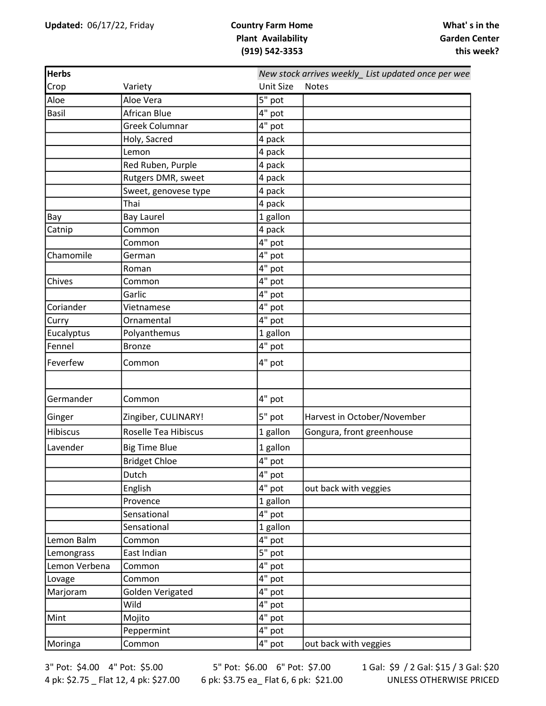| <b>Herbs</b>  |                      |                      | New stock arrives weekly_ List updated once per wee |  |  |  |
|---------------|----------------------|----------------------|-----------------------------------------------------|--|--|--|
| Crop          | Variety              | <b>Unit Size</b>     | <b>Notes</b>                                        |  |  |  |
| Aloe          | Aloe Vera            | 5" pot               |                                                     |  |  |  |
| <b>Basil</b>  | African Blue         | 4" pot               |                                                     |  |  |  |
|               | Greek Columnar       | 4" pot               |                                                     |  |  |  |
|               | Holy, Sacred         | 4 pack               |                                                     |  |  |  |
|               | Lemon                | 4 pack               |                                                     |  |  |  |
|               | Red Ruben, Purple    | 4 pack               |                                                     |  |  |  |
|               | Rutgers DMR, sweet   | 4 pack               |                                                     |  |  |  |
|               | Sweet, genovese type | 4 pack               |                                                     |  |  |  |
|               | Thai                 | 4 pack               |                                                     |  |  |  |
| Bay           | <b>Bay Laurel</b>    | 1 gallon             |                                                     |  |  |  |
| Catnip        | Common               | 4 pack               |                                                     |  |  |  |
|               | Common               | $4"$ pot             |                                                     |  |  |  |
| Chamomile     | German               | 4" pot               |                                                     |  |  |  |
|               | Roman                | 4" pot               |                                                     |  |  |  |
| Chives        | Common               | 4" pot               |                                                     |  |  |  |
|               | Garlic               | 4" pot               |                                                     |  |  |  |
| Coriander     | Vietnamese           | 4" pot               |                                                     |  |  |  |
| Curry         | Ornamental           | 4" pot               |                                                     |  |  |  |
| Eucalyptus    | Polyanthemus         | 1 gallon             |                                                     |  |  |  |
| Fennel        | <b>Bronze</b>        | 4" pot               |                                                     |  |  |  |
| Feverfew      | Common               | 4" pot               |                                                     |  |  |  |
|               |                      |                      |                                                     |  |  |  |
| Germander     | Common               | 4" pot               |                                                     |  |  |  |
| Ginger        | Zingiber, CULINARY!  | 5" pot               | Harvest in October/November                         |  |  |  |
| Hibiscus      | Roselle Tea Hibiscus | 1 gallon             | Gongura, front greenhouse                           |  |  |  |
| Lavender      | <b>Big Time Blue</b> | 1 gallon             |                                                     |  |  |  |
|               | <b>Bridget Chloe</b> | 4" pot               |                                                     |  |  |  |
|               | Dutch                | 4" pot               |                                                     |  |  |  |
|               | English              | 4" pot               | out back with veggies                               |  |  |  |
|               | Provence             | 1 gallon             |                                                     |  |  |  |
|               | Sensational          | 4" pot               |                                                     |  |  |  |
|               | Sensational          | 1 gallon             |                                                     |  |  |  |
| Lemon Balm    | Common               | 4" pot               |                                                     |  |  |  |
| Lemongrass    | East Indian          | $5"$ pot             |                                                     |  |  |  |
| Lemon Verbena | Common               | 4" pot               |                                                     |  |  |  |
| Lovage        | Common               | 4" pot               |                                                     |  |  |  |
| Marjoram      | Golden Verigated     | 4" pot               |                                                     |  |  |  |
|               | Wild                 | 4" pot               |                                                     |  |  |  |
| Mint          | Mojito               | 4" pot               |                                                     |  |  |  |
|               | Peppermint           | 4" pot               |                                                     |  |  |  |
| Moringa       | Common               | $\overline{4}$ " pot | out back with veggies                               |  |  |  |
|               |                      |                      |                                                     |  |  |  |

3" Pot: \$4.00 4" Pot: \$5.00 4 pk: \$2.75 \_ Flat 12, 4 pk: \$27.00

5" Pot: \$6.00 6" Pot: \$7.00 6 pk: \$3.75 ea\_ Flat 6, 6 pk: \$21.00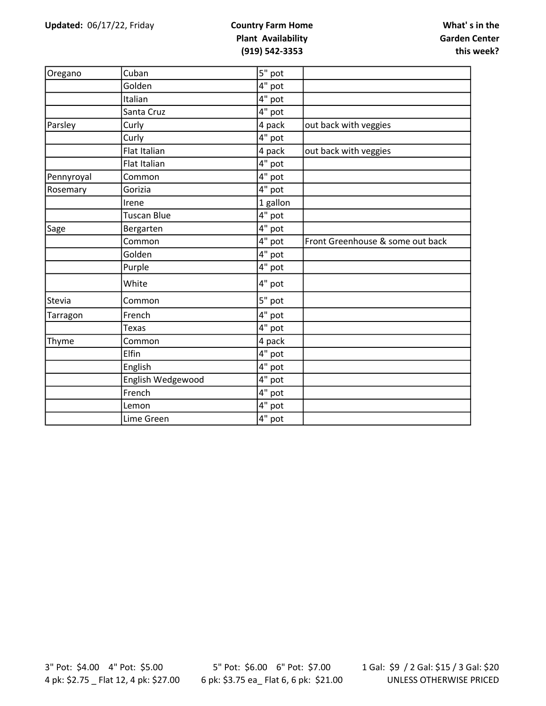| Oregano    | Cuban             | 5" pot   |                                  |
|------------|-------------------|----------|----------------------------------|
|            | Golden            | 4" pot   |                                  |
|            | Italian           | 4" pot   |                                  |
|            | Santa Cruz        | 4" pot   |                                  |
| Parsley    | Curly             | 4 pack   | out back with veggies            |
|            | Curly             | 4" pot   |                                  |
|            | Flat Italian      | 4 pack   | out back with veggies            |
|            | Flat Italian      | 4" pot   |                                  |
| Pennyroyal | Common            | 4" pot   |                                  |
| Rosemary   | Gorizia           | 4" pot   |                                  |
|            | Irene             | 1 gallon |                                  |
|            | Tuscan Blue       | $4"$ pot |                                  |
| Sage       | Bergarten         | 4" pot   |                                  |
|            | Common            | 4" pot   | Front Greenhouse & some out back |
|            | Golden            | 4" pot   |                                  |
|            | Purple            | 4" pot   |                                  |
|            | White             | 4" pot   |                                  |
| Stevia     | Common            | 5" pot   |                                  |
| Tarragon   | French            | 4" pot   |                                  |
|            | Texas             | 4" pot   |                                  |
| Thyme      | Common            | 4 pack   |                                  |
|            | Elfin             | 4" pot   |                                  |
|            | English           | 4" pot   |                                  |
|            | English Wedgewood | 4" pot   |                                  |
|            | French            | 4" pot   |                                  |
|            | Lemon             | 4" pot   |                                  |
|            | Lime Green        | 4" pot   |                                  |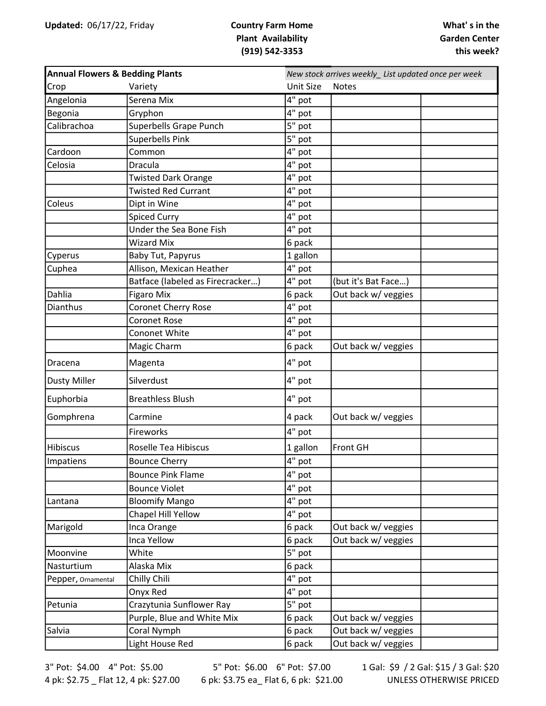| <b>Annual Flowers &amp; Bedding Plants</b> |                                  |                  | New stock arrives weekly_List updated once per week |  |  |
|--------------------------------------------|----------------------------------|------------------|-----------------------------------------------------|--|--|
| Crop                                       | Variety                          | <b>Unit Size</b> | <b>Notes</b>                                        |  |  |
| Angelonia                                  | Serena Mix                       | 4" pot           |                                                     |  |  |
| Begonia                                    | Gryphon                          | 4" pot           |                                                     |  |  |
| Calibrachoa                                | Superbells Grape Punch           | 5" pot           |                                                     |  |  |
|                                            | Superbells Pink                  | 5" pot           |                                                     |  |  |
| Cardoon                                    | Common                           | 4" pot           |                                                     |  |  |
| Celosia                                    | Dracula                          | 4" pot           |                                                     |  |  |
|                                            | <b>Twisted Dark Orange</b>       | 4" pot           |                                                     |  |  |
|                                            | <b>Twisted Red Currant</b>       | 4" pot           |                                                     |  |  |
| Coleus                                     | Dipt in Wine                     | 4" pot           |                                                     |  |  |
|                                            | <b>Spiced Curry</b>              | 4" pot           |                                                     |  |  |
|                                            | Under the Sea Bone Fish          | 4" pot           |                                                     |  |  |
|                                            | <b>Wizard Mix</b>                | 6 pack           |                                                     |  |  |
| Cyperus                                    | Baby Tut, Papyrus                | 1 gallon         |                                                     |  |  |
| Cuphea                                     | Allison, Mexican Heather         | 4" pot           |                                                     |  |  |
|                                            | Batface (labeled as Firecracker) | 4" pot           | (but it's Bat Face)                                 |  |  |
| Dahlia                                     | <b>Figaro Mix</b>                | 6 pack           | Out back w/ veggies                                 |  |  |
| <b>Dianthus</b>                            | <b>Coronet Cherry Rose</b>       | 4" pot           |                                                     |  |  |
|                                            | <b>Coronet Rose</b>              | 4" pot           |                                                     |  |  |
|                                            | Cononet White                    | $4"$ pot         |                                                     |  |  |
|                                            | Magic Charm                      | 6 pack           | Out back w/ veggies                                 |  |  |
| Dracena                                    | Magenta                          | 4" pot           |                                                     |  |  |
| <b>Dusty Miller</b>                        | Silverdust                       | 4" pot           |                                                     |  |  |
| Euphorbia                                  | <b>Breathless Blush</b>          | 4" pot           |                                                     |  |  |
| Gomphrena                                  | Carmine                          | 4 pack           | Out back w/ veggies                                 |  |  |
|                                            | Fireworks                        | 4" pot           |                                                     |  |  |
| Hibiscus                                   | <b>Roselle Tea Hibiscus</b>      | 1 gallon         | Front GH                                            |  |  |
| Impatiens                                  | <b>Bounce Cherry</b>             | $4"$ pot         |                                                     |  |  |
|                                            | <b>Bounce Pink Flame</b>         | 4" pot           |                                                     |  |  |
|                                            | <b>Bounce Violet</b>             | 4" pot           |                                                     |  |  |
| Lantana                                    | <b>Bloomify Mango</b>            | 4" pot           |                                                     |  |  |
|                                            | Chapel Hill Yellow               | 4" pot           |                                                     |  |  |
| Marigold                                   | Inca Orange                      | 6 pack           | Out back w/ veggies                                 |  |  |
|                                            | Inca Yellow                      | 6 pack           | Out back w/ veggies                                 |  |  |
| Moonvine                                   | White                            | 5" pot           |                                                     |  |  |
| Nasturtium                                 | Alaska Mix                       | 6 pack           |                                                     |  |  |
| Pepper, Ornamental                         | Chilly Chili                     | 4" pot           |                                                     |  |  |
|                                            | Onyx Red                         | 4" pot           |                                                     |  |  |
| Petunia                                    | Crazytunia Sunflower Ray         | 5" pot           |                                                     |  |  |
|                                            | Purple, Blue and White Mix       | 6 pack           | Out back w/ veggies                                 |  |  |
| Salvia                                     | Coral Nymph                      | 6 pack           | Out back w/ veggies                                 |  |  |
|                                            | Light House Red                  | 6 pack           | Out back w/ veggies                                 |  |  |

3" Pot: \$4.00 4" Pot: \$5.00 4 pk: \$2.75 \_ Flat 12, 4 pk: \$27.00

5" Pot: \$6.00 6" Pot: \$7.00 6 pk: \$3.75 ea\_ Flat 6, 6 pk: \$21.00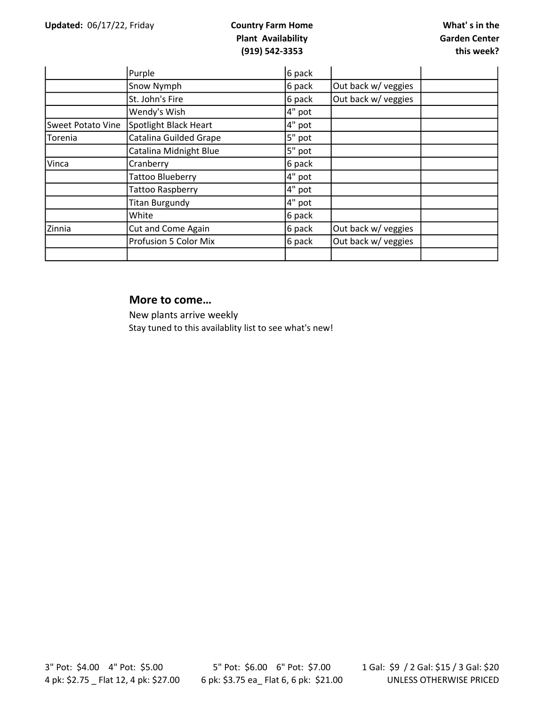|                          | Purple                       | 6 pack |                     |
|--------------------------|------------------------------|--------|---------------------|
|                          | Snow Nymph                   | 6 pack | Out back w/ veggies |
|                          | St. John's Fire              | 6 pack | Out back w/ veggies |
|                          | Wendy's Wish                 | 4" pot |                     |
| <b>Sweet Potato Vine</b> | Spotlight Black Heart        | 4" pot |                     |
| Torenia                  | Catalina Guilded Grape       | 5" pot |                     |
|                          | Catalina Midnight Blue       | 5" pot |                     |
| Vinca                    | Cranberry                    | 6 pack |                     |
|                          | <b>Tattoo Blueberry</b>      | 4" pot |                     |
|                          | <b>Tattoo Raspberry</b>      | 4" pot |                     |
|                          | <b>Titan Burgundy</b>        | 4" pot |                     |
|                          | White                        | 6 pack |                     |
| Zinnia                   | Cut and Come Again           | 6 pack | Out back w/ veggies |
|                          | <b>Profusion 5 Color Mix</b> | 6 pack | Out back w/ veggies |
|                          |                              |        |                     |

#### More to come…

New plants arrive weekly Stay tuned to this availablity list to see what's new!

3" Pot: \$4.00 4" Pot: \$5.00 4 pk: \$2.75 \_ Flat 12, 4 pk: \$27.00

5" Pot: \$6.00 6" Pot: \$7.00 6 pk: \$3.75 ea\_ Flat 6, 6 pk: \$21.00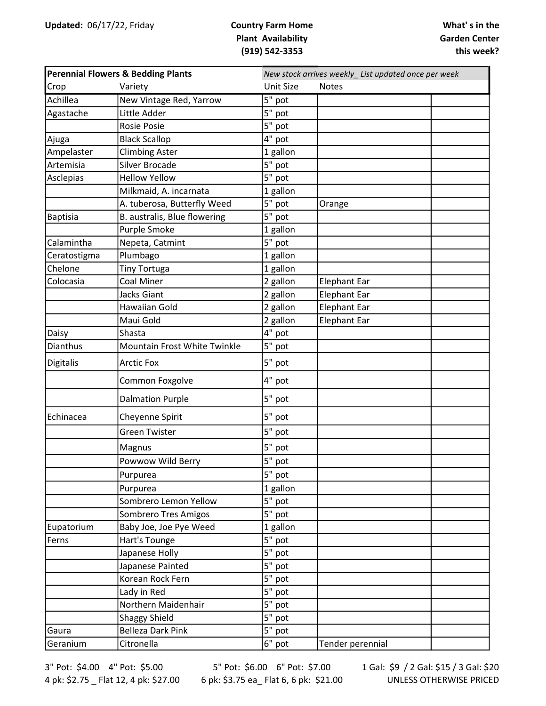| Perennial Flowers & Bedding Plants |                              | New stock arrives weekly_ List updated once per week |                     |  |
|------------------------------------|------------------------------|------------------------------------------------------|---------------------|--|
| Crop                               | Variety                      | <b>Unit Size</b>                                     | <b>Notes</b>        |  |
| Achillea                           | New Vintage Red, Yarrow      | 5" pot                                               |                     |  |
| Agastache                          | Little Adder                 | 5" pot                                               |                     |  |
|                                    | Rosie Posie                  | 5" pot                                               |                     |  |
| Ajuga                              | <b>Black Scallop</b>         | 4" pot                                               |                     |  |
| Ampelaster                         | <b>Climbing Aster</b>        | 1 gallon                                             |                     |  |
| Artemisia                          | <b>Silver Brocade</b>        | 5" pot                                               |                     |  |
| Asclepias                          | <b>Hellow Yellow</b>         | 5" pot                                               |                     |  |
|                                    | Milkmaid, A. incarnata       | 1 gallon                                             |                     |  |
|                                    | A. tuberosa, Butterfly Weed  | $5"$ pot                                             | Orange              |  |
| <b>Baptisia</b>                    | B. australis, Blue flowering | 5" pot                                               |                     |  |
|                                    | Purple Smoke                 | 1 gallon                                             |                     |  |
| Calamintha                         | Nepeta, Catmint              | 5" pot                                               |                     |  |
| Ceratostigma                       | Plumbago                     | 1 gallon                                             |                     |  |
| Chelone                            | <b>Tiny Tortuga</b>          | 1 gallon                                             |                     |  |
| Colocasia                          | Coal Miner                   | 2 gallon                                             | <b>Elephant Ear</b> |  |
|                                    | Jacks Giant                  | 2 gallon                                             | <b>Elephant Ear</b> |  |
|                                    | Hawaiian Gold                | 2 gallon                                             | <b>Elephant Ear</b> |  |
|                                    | Maui Gold                    | 2 gallon                                             | <b>Elephant Ear</b> |  |
| Daisy                              | Shasta                       | $4"$ pot                                             |                     |  |
| Dianthus                           | Mountain Frost White Twinkle | 5" pot                                               |                     |  |
| <b>Digitalis</b>                   | <b>Arctic Fox</b>            | 5" pot                                               |                     |  |
|                                    | Common Foxgolve              | 4" pot                                               |                     |  |
|                                    | <b>Dalmation Purple</b>      | 5" pot                                               |                     |  |
| Echinacea                          | Cheyenne Spirit              | 5" pot                                               |                     |  |
|                                    | <b>Green Twister</b>         | 5" pot                                               |                     |  |
|                                    | Magnus                       | 5" pot                                               |                     |  |
|                                    | Powwow Wild Berry            | 5" pot                                               |                     |  |
|                                    | Purpurea                     | 5" pot                                               |                     |  |
|                                    | Purpurea                     | 1 gallon                                             |                     |  |
|                                    | Sombrero Lemon Yellow        | 5" pot                                               |                     |  |
|                                    | Sombrero Tres Amigos         | 5" pot                                               |                     |  |
| Eupatorium                         | Baby Joe, Joe Pye Weed       | 1 gallon                                             |                     |  |
| Ferns                              | Hart's Tounge                | 5" pot                                               |                     |  |
|                                    | Japanese Holly               | 5" pot                                               |                     |  |
|                                    | Japanese Painted             | 5" pot                                               |                     |  |
|                                    | Korean Rock Fern             | $\overline{5}$ " pot                                 |                     |  |
|                                    | Lady in Red                  | 5" pot                                               |                     |  |
|                                    | Northern Maidenhair          | 5" pot                                               |                     |  |
|                                    | <b>Shaggy Shield</b>         | 5" pot                                               |                     |  |
| Gaura                              | <b>Belleza Dark Pink</b>     | 5" pot                                               |                     |  |
| Geranium                           | Citronella                   | $6"$ pot                                             | Tender perennial    |  |

3" Pot: \$4.00 4" Pot: \$5.00 4 pk: \$2.75 \_ Flat 12, 4 pk: \$27.00

5" Pot: \$6.00 6" Pot: \$7.00 6 pk: \$3.75 ea\_ Flat 6, 6 pk: \$21.00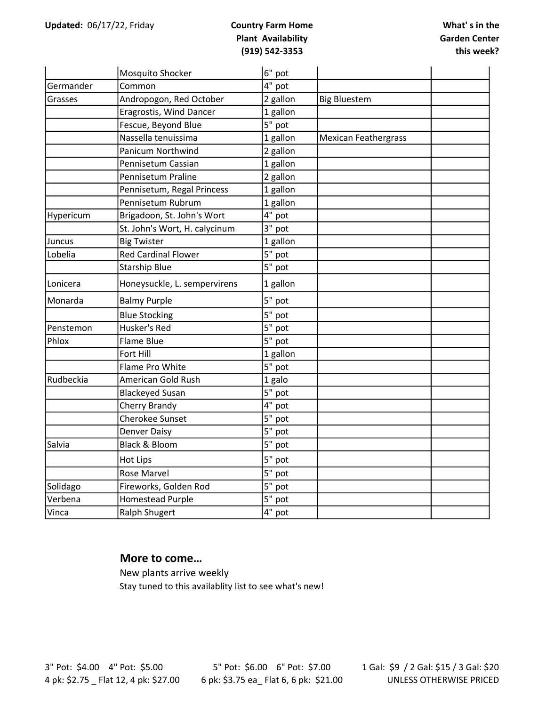|           | Mosquito Shocker              | 6" pot               |                             |  |
|-----------|-------------------------------|----------------------|-----------------------------|--|
| Germander | Common                        | 4" pot               |                             |  |
| Grasses   | Andropogon, Red October       | 2 gallon             | <b>Big Bluestem</b>         |  |
|           | Eragrostis, Wind Dancer       | 1 gallon             |                             |  |
|           | Fescue, Beyond Blue           | 5" pot               |                             |  |
|           | Nassella tenuissima           | 1 gallon             | <b>Mexican Feathergrass</b> |  |
|           | Panicum Northwind             | 2 gallon             |                             |  |
|           | Pennisetum Cassian            | 1 gallon             |                             |  |
|           | Pennisetum Praline            | 2 gallon             |                             |  |
|           | Pennisetum, Regal Princess    | 1 gallon             |                             |  |
|           | Pennisetum Rubrum             | 1 gallon             |                             |  |
| Hypericum | Brigadoon, St. John's Wort    | $4"$ pot             |                             |  |
|           | St. John's Wort, H. calycinum | 3" pot               |                             |  |
| Juncus    | <b>Big Twister</b>            | 1 gallon             |                             |  |
| Lobelia   | <b>Red Cardinal Flower</b>    | 5" pot               |                             |  |
|           | <b>Starship Blue</b>          | 5" pot               |                             |  |
| Lonicera  | Honeysuckle, L. sempervirens  | 1 gallon             |                             |  |
| Monarda   | <b>Balmy Purple</b>           | 5" pot               |                             |  |
|           | <b>Blue Stocking</b>          | 5" pot               |                             |  |
| Penstemon | Husker's Red                  | 5" pot               |                             |  |
| Phlox     | Flame Blue                    | 5" pot               |                             |  |
|           | Fort Hill                     | 1 gallon             |                             |  |
|           | Flame Pro White               | 5" pot               |                             |  |
| Rudbeckia | American Gold Rush            | 1 galo               |                             |  |
|           | <b>Blackeyed Susan</b>        | $5"$ pot             |                             |  |
|           | Cherry Brandy                 | $4"$ pot             |                             |  |
|           | <b>Cherokee Sunset</b>        | 5" pot               |                             |  |
|           | <b>Denver Daisy</b>           | 5" pot               |                             |  |
| Salvia    | Black & Bloom                 | $5"$ pot             |                             |  |
|           | <b>Hot Lips</b>               | 5" pot               |                             |  |
|           | <b>Rose Marvel</b>            | $\overline{5}$ " pot |                             |  |
| Solidago  | Fireworks, Golden Rod         | 5" pot               |                             |  |
| Verbena   | <b>Homestead Purple</b>       | 5" pot               |                             |  |
| Vinca     | <b>Ralph Shugert</b>          | $4"$ pot             |                             |  |

#### More to come…

New plants arrive weekly Stay tuned to this availablity list to see what's new!

3" Pot: \$4.00 4" Pot: \$5.00 4 pk: \$2.75 \_ Flat 12, 4 pk: \$27.00

5" Pot: \$6.00 6" Pot: \$7.00 6 pk: \$3.75 ea\_ Flat 6, 6 pk: \$21.00